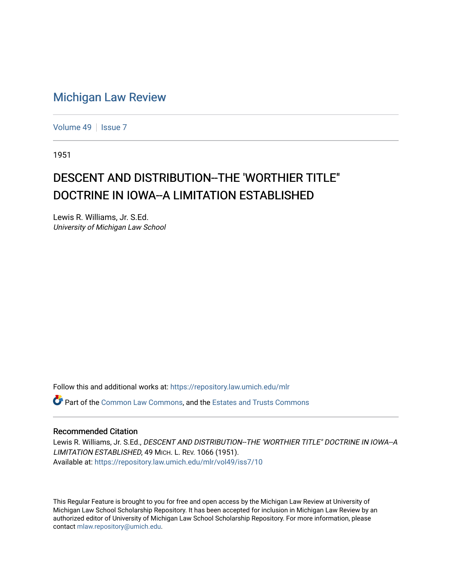## [Michigan Law Review](https://repository.law.umich.edu/mlr)

[Volume 49](https://repository.law.umich.edu/mlr/vol49) | [Issue 7](https://repository.law.umich.edu/mlr/vol49/iss7)

1951

## DESCENT AND DISTRIBUTION--THE 'WORTHIER TITLE" DOCTRINE IN IOWA--A LIMITATION ESTABLISHED

Lewis R. Williams, Jr. S.Ed. University of Michigan Law School

Follow this and additional works at: [https://repository.law.umich.edu/mlr](https://repository.law.umich.edu/mlr?utm_source=repository.law.umich.edu%2Fmlr%2Fvol49%2Fiss7%2F10&utm_medium=PDF&utm_campaign=PDFCoverPages) 

 $\bullet$  Part of the [Common Law Commons,](https://network.bepress.com/hgg/discipline/1120?utm_source=repository.law.umich.edu%2Fmlr%2Fvol49%2Fiss7%2F10&utm_medium=PDF&utm_campaign=PDFCoverPages) and the [Estates and Trusts Commons](https://network.bepress.com/hgg/discipline/906?utm_source=repository.law.umich.edu%2Fmlr%2Fvol49%2Fiss7%2F10&utm_medium=PDF&utm_campaign=PDFCoverPages)

## Recommended Citation

Lewis R. Williams, Jr. S.Ed., DESCENT AND DISTRIBUTION-THE 'WORTHIER TITLE" DOCTRINE IN IOWA--A LIMITATION ESTABLISHED, 49 MICH. L. REV. 1066 (1951). Available at: [https://repository.law.umich.edu/mlr/vol49/iss7/10](https://repository.law.umich.edu/mlr/vol49/iss7/10?utm_source=repository.law.umich.edu%2Fmlr%2Fvol49%2Fiss7%2F10&utm_medium=PDF&utm_campaign=PDFCoverPages) 

This Regular Feature is brought to you for free and open access by the Michigan Law Review at University of Michigan Law School Scholarship Repository. It has been accepted for inclusion in Michigan Law Review by an authorized editor of University of Michigan Law School Scholarship Repository. For more information, please contact [mlaw.repository@umich.edu](mailto:mlaw.repository@umich.edu).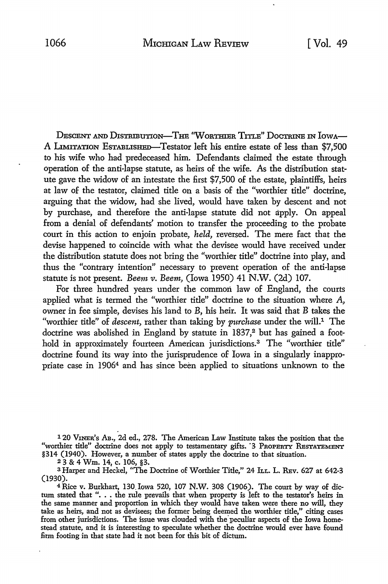DESCENT AND DISTRIBUTION-THE "WORTHIER TITLE" DOCTRINE IN IOWA-A LIMITATION ESTABLISHED-Testator left his entire estate of less than \$7,500 to his wife who had predeceased him. Defendants claimed the estate through operation of the anti-lapse statute, as heirs of the wife. As the distribution statute gave the widow of an intestate the first \$7,500 of the estate, plaintiffs, heirs at law of the testator, claimed title on a basis of the "worthier title" doctrine, arguing that the widow, had she lived, would have taken by descent and not by purchase, and therefore the anti-lapse statute did not apply. On appeal from a denial of defendants' motion to transfer the proceeding to the probate court in this action to enjoin probate, *held,* reversed. The mere fact that the devise happened to coincide with what the devisee would have received under the distribution statute does not bring the "worthier title" doctrine into play, and thus the "contrary intention" necessary to prevent operation of the anti-lapse statute is not present. *Beem v. Beem,* (Iowa 1950) 41 N.W. (2d) 107.

For three hundred years under the common law of England, the courts applied what is termed the "worthier title" doctrine to the situation where A, owner in fee simple, devises his land to B, his heir. It was said that B takes the "worthier title" of *descent,* rather than taking by *purchase* under the will.1 The doctrine was abolished in England by statute in 1837,<sup>2</sup> but has gained a foothold in approximately fourteen American jurisdictions.<sup>3</sup> The "worthier title" doctrine found its way into the jurisprudence of Iowa in a singularly inappropriate case in 19064 and has since been applied to situations unknown to the

<sup>1</sup>20 V1NER's AB., 2d ed., 278. The American Law Institute takes the position that the "worthier title" doctrine does not apply to testamentary gifts. '3 PROPERTY RESTATEMENT §314 (1940). However, a number of states apply the doctrine to that situation.

<sup>2</sup>3 & 4 Wm. 14, c. 106, §3.

<sup>3</sup> Harper and Heckel, "The Doctrine of Worthier Title," 24 ILL. L. REv. 627 at 642-3 (1930).

4 Rice v. Burkhart, 130. Iowa 520, 107 N.W. 308 (1906). The court by way of dic-<sup>4</sup> Kice v. Burkhart, 150 Iowa 520, 107 N.W. 508 (1906). The court by way of dictum stated that "... the rule prevails that when property is left to the testator's heirs in the same manner and proportion in which they woul take as heirs, and not as devisees; the former being deemed the worthier title," citing cases from other jurisdictions. The issue was clouded with the peculiar aspects of the Iowa homestead statute, and it is interesting to speculate whether the doctrine would ever have found firm footing in that state had it not been for this bit of dictum.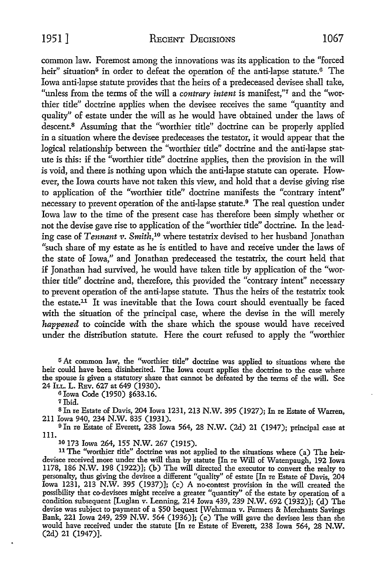common law. Foremost among the innovations was its application to the "forced heir" situation<sup>5</sup> in order to defeat the operation of the anti-lapse statute.<sup>6</sup> The Iowa anti-lapse statute provides that the heirs of a predeceased devisee shall take, "unless from the terms of the will a *contrary intent* is manifest,"7 and the "worthier title" doctrine applies when the devisee receives the same "quantity and quality" of estate under the will as he would have obtained under the laws of descent.<sup>8</sup> Assuming that the "worthier title" doctrine can be properly applied in a situation where the devisee predeceases the testator, it would appear that the logical relationship between the "worthier title" doctrine and the anti-lapse statute is this: if the "worthier title" doctrine applies, then the provision in the will is void, and there is nothing upon which the anti-lapse statute can operate. However, the Iowa courts have not taken this view, and hold that a devise giving rise to application of the "worthier title" doctrine manifests the "contrary intent" necessary to prevent operation of the anti-lapse statute.<sup>9</sup> The real question under Iowa law to the time of the present case has therefore been simply whether or not the devise gave rise to application of the "worthier title" doctrine. In the leading case of *Tennant v. Smith,10* where testatrix devised to her husband Jonathan "such share of my estate as he is entitled to have and receive under the laws of the state of Iowa," and Jonathan predeceased the testatrix, the court held that if Jonathan had survived, he would have taken title by application of the "worthier title" doctrine and, therefore, this provided the "contrary intent" necessary to prevent operation of the anti-lapse statute. Thus the heirs of the testatrix took the estate.<sup>11</sup> It was inevitable that the Iowa court should eventually be faced with the situation of the principal case, where the devise in the will merely *happened* to coincide with the share which the spouse would have received under the distribution statute. Here the court refused to apply the "worthier

5 At common law, the "worthier title" doctrine was applied to situations where the heir could have been disinherited. The Iowa court applies the doctrine to the case where the spouse is given a statutory share that cannot be defeated by the tenns of the will. See 24 h.L. L. REv. 627 at 649 (1930).

<sup>6</sup>Iowa Code (1950) §633.16.

8 In re Estate of Davis, 204 Iowa 1231, 213 N.W. 395 (1927); In re Estate of Warren, 211 Iowa 940, 234 N.W. 835 (1931).

9 In re Estate of Everett, 238 Iowa 564, 28 N.W. (2d) 21 (1947); principal case at 111.

10 173 Iowa 264, 155 N.W. 267 (1915).

11 The "worthier title" doctrine was not applied to the situations where (a) The heirdevisee received more under the will than by statute [In re Will of Watenpaugh, 192 Iowa 1178, 186 N.W. 198 (1922)]; (b) The will directed the executor to convert the realty to personalty, thus giving the devisee a different "quality" of estate [In re Estate of Davis, 204 Iowa 1231, 213 N.W. 395 (1937)]; (c) A no-contest provision in the will created the possibility that co-devisees might receive a greater "quantity" of the estate by operation of a condition subsequent [Luglan v. Lenning, 214 Iowa 439, 239 N.W. 692 (1932)]; (d) The devise was subject to payment of a \$50 bequest [Wehrman v. Farmers & Merchants Savings Bank, 221 Iowa 249, 259 N.W. 564 (1936)]; (e) The will gave the devisee less than she would have received under the statute [In re Estate of Everett, 238 Iowa 564, 28 N.W. (2d) 21 (1947)].

*<sup>1</sup>* Ibid.